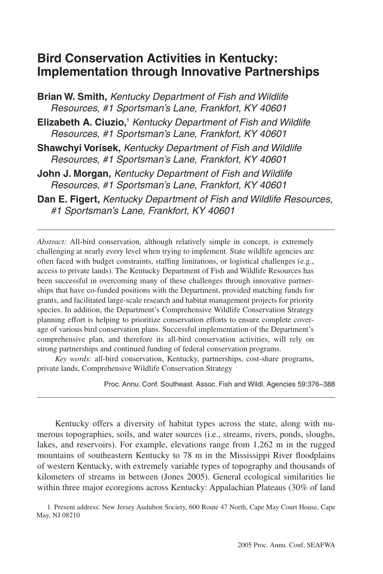# **Bird Conservation Activities in Kentucky: Implementation through Innovative Partnerships**

**Brian W. Smith,** *Kentucky Department of Fish and Wildlife Resources, #1 Sportsman's Lane, Frankfort, KY 40601*

**Elizabeth A. Ciuzio,**<sup>1</sup>  *Kentucky Department of Fish and Wildlife Resources, #1 Sportsman's Lane, Frankfort, KY 40601*

**Shawchyi Vorisek,** *Kentucky Department of Fish and Wildlife Resources, #1 Sportsman's Lane, Frankfort, KY 40601*

- **John J. Morgan,** *Kentucky Department of Fish and Wildlife Resources, #1 Sportsman's Lane, Frankfort, KY 40601*
- **Dan E. Figert,** *Kentucky Department of Fish and Wildlife Resources, #1 Sportsman's Lane, Frankfort, KY 40601*

*Abstract:* All-bird conservation, although relatively simple in concept, is extremely challenging at nearly every level when trying to implement. State wildlife agencies are often faced with budget constraints, staffing limitations, or logistical challenges (e.g., access to private lands). The Kentucky Department of Fish and Wildlife Resources has been successful in overcoming many of these challenges through innovative partnerships that have co-funded positions with the Department, provided matching funds for grants, and facilitated large-scale research and habitat management projects for priority species. In addition, the Department's Comprehensive Wildlife Conservation Strategy planning effort is helping to prioritize conservation efforts to ensure complete coverage of various bird conservation plans. Successful implementation of the Department's comprehensive plan, and therefore its all-bird conservation activities, will rely on strong partnerships and continued funding of federal conservation programs.

*Key words:* all-bird conservation, Kentucky, partnerships, cost-share programs, private lands, Comprehensive Wildlife Conservation Strategy

Proc. Annu. Conf. Southeast. Assoc. Fish and Wildl. Agencies 59:376–388

Kentucky offers a diversity of habitat types across the state, along with numerous topographies, soils, and water sources (i.e., streams, rivers, ponds, sloughs, lakes, and reservoirs). For example, elevations range from 1,262 m in the rugged mountains of southeastern Kentucky to 78 m in the Mississippi River floodplains of western Kentucky, with extremely variable types of topography and thousands of kilometers of streams in between (Jones 2005). General ecological similarities lie within three major ecoregions across Kentucky: Appalachian Plateaus (30% of land

1. Present address: New Jersey Audubon Society, 600 Route 47 North, Cape May Court House, Cape May, NJ 08210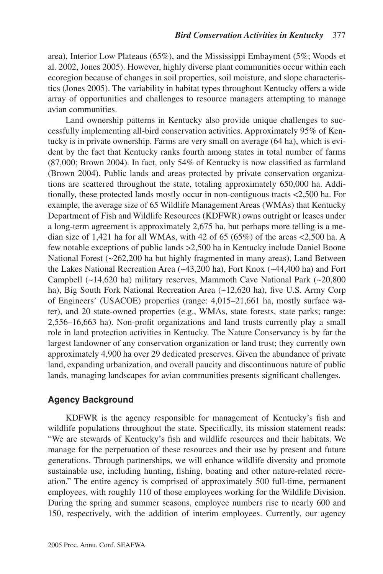area), Interior Low Plateaus (65%), and the Mississippi Embayment (5%; Woods et al. 2002, Jones 2005). However, highly diverse plant communities occur within each ecoregion because of changes in soil properties, soil moisture, and slope characteristics (Jones 2005). The variability in habitat types throughout Kentucky offers a wide array of opportunities and challenges to resource managers attempting to manage avian communities.

Land ownership patterns in Kentucky also provide unique challenges to successfully implementing all-bird conservation activities. Approximately 95% of Kentucky is in private ownership. Farms are very small on average (64 ha), which is evident by the fact that Kentucky ranks fourth among states in total number of farms (87,000; Brown 2004). In fact, only 54% of Kentucky is now classified as farmland (Brown 2004). Public lands and areas protected by private conservation organizations are scattered throughout the state, totaling approximately 650,000 ha. Additionally, these protected lands mostly occur in non-contiguous tracts <2,500 ha. For example, the average size of 65 Wildlife Management Areas (WMAs) that Kentucky Department of Fish and Wildlife Resources (KDFWR) owns outright or leases under a long-term agreement is approximately 2,675 ha, but perhaps more telling is a median size of 1,421 ha for all WMAs, with 42 of 65 (65%) of the areas  $\lt$ 2,500 ha. A few notable exceptions of public lands >2,500 ha in Kentucky include Daniel Boone National Forest (~262,200 ha but highly fragmented in many areas), Land Between the Lakes National Recreation Area (~43,200 ha), Fort Knox (~44,400 ha) and Fort Campbell (~14,620 ha) military reserves, Mammoth Cave National Park (~20,800 ha), Big South Fork National Recreation Area (~12,620 ha), five U.S. Army Corp of Engineers' (USACOE) properties (range: 4,015–21,661 ha, mostly surface water), and 20 state-owned properties (e.g., WMAs, state forests, state parks; range: 2,556–16,663 ha). Non-profit organizations and land trusts currently play a small role in land protection activities in Kentucky. The Nature Conservancy is by far the largest landowner of any conservation organization or land trust; they currently own approximately 4,900 ha over 29 dedicated preserves. Given the abundance of private land, expanding urbanization, and overall paucity and discontinuous nature of public lands, managing landscapes for avian communities presents significant challenges.

# **Agency Background**

KDFWR is the agency responsible for management of Kentucky's fish and wildlife populations throughout the state. Specifically, its mission statement reads: "We are stewards of Kentucky's fish and wildlife resources and their habitats. We manage for the perpetuation of these resources and their use by present and future generations. Through partnerships, we will enhance wildlife diversity and promote sustainable use, including hunting, fishing, boating and other nature-related recreation." The entire agency is comprised of approximately 500 full-time, permanent employees, with roughly 110 of those employees working for the Wildlife Division. During the spring and summer seasons, employee numbers rise to nearly 600 and 150, respectively, with the addition of interim employees. Currently, our agency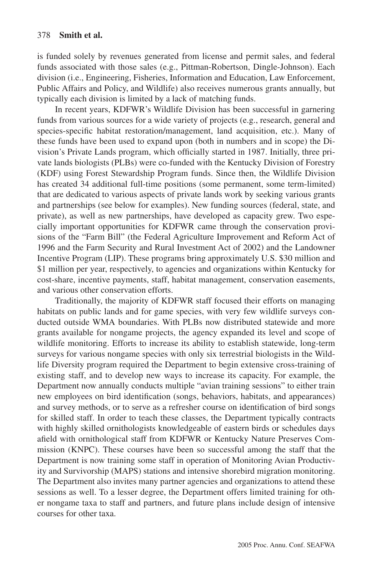is funded solely by revenues generated from license and permit sales, and federal funds associated with those sales (e.g., Pittman-Robertson, Dingle-Johnson). Each division (i.e., Engineering, Fisheries, Information and Education, Law Enforcement, Public Affairs and Policy, and Wildlife) also receives numerous grants annually, but typically each division is limited by a lack of matching funds.

In recent years, KDFWR's Wildlife Division has been successful in garnering funds from various sources for a wide variety of projects (e.g., research, general and species-specific habitat restoration/management, land acquisition, etc.). Many of these funds have been used to expand upon (both in numbers and in scope) the Division's Private Lands program, which officially started in 1987. Initially, three private lands biologists (PLBs) were co-funded with the Kentucky Division of Forestry (KDF) using Forest Stewardship Program funds. Since then, the Wildlife Division has created 34 additional full-time positions (some permanent, some term-limited) that are dedicated to various aspects of private lands work by seeking various grants and partnerships (see below for examples). New funding sources (federal, state, and private), as well as new partnerships, have developed as capacity grew. Two especially important opportunities for KDFWR came through the conservation provisions of the "Farm Bill" (the Federal Agriculture Improvement and Reform Act of 1996 and the Farm Security and Rural Investment Act of 2002) and the Landowner Incentive Program (LIP). These programs bring approximately U.S. \$30 million and \$1 million per year, respectively, to agencies and organizations within Kentucky for cost-share, incentive payments, staff, habitat management, conservation easements, and various other conservation efforts.

Traditionally, the majority of KDFWR staff focused their efforts on managing habitats on public lands and for game species, with very few wildlife surveys conducted outside WMA boundaries. With PLBs now distributed statewide and more grants available for nongame projects, the agency expanded its level and scope of wildlife monitoring. Efforts to increase its ability to establish statewide, long-term surveys for various nongame species with only six terrestrial biologists in the Wildlife Diversity program required the Department to begin extensive cross-training of existing staff, and to develop new ways to increase its capacity. For example, the Department now annually conducts multiple "avian training sessions" to either train new employees on bird identification (songs, behaviors, habitats, and appearances) and survey methods, or to serve as a refresher course on identification of bird songs for skilled staff. In order to teach these classes, the Department typically contracts with highly skilled ornithologists knowledgeable of eastern birds or schedules days afield with ornithological staff from KDFWR or Kentucky Nature Preserves Commission (KNPC). These courses have been so successful among the staff that the Department is now training some staff in operation of Monitoring Avian Productivity and Survivorship (MAPS) stations and intensive shorebird migration monitoring. The Department also invites many partner agencies and organizations to attend these sessions as well. To a lesser degree, the Department offers limited training for other nongame taxa to staff and partners, and future plans include design of intensive courses for other taxa.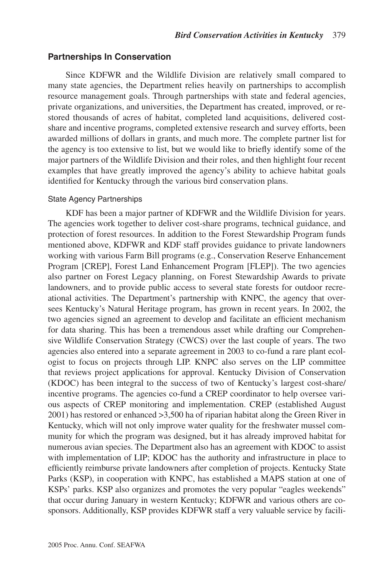# **Partnerships In Conservation**

Since KDFWR and the Wildlife Division are relatively small compared to many state agencies, the Department relies heavily on partnerships to accomplish resource management goals. Through partnerships with state and federal agencies, private organizations, and universities, the Department has created, improved, or restored thousands of acres of habitat, completed land acquisitions, delivered costshare and incentive programs, completed extensive research and survey efforts, been awarded millions of dollars in grants, and much more. The complete partner list for the agency is too extensive to list, but we would like to briefly identify some of the major partners of the Wildlife Division and their roles, and then highlight four recent examples that have greatly improved the agency's ability to achieve habitat goals identified for Kentucky through the various bird conservation plans.

# State Agency Partnerships

KDF has been a major partner of KDFWR and the Wildlife Division for years. The agencies work together to deliver cost-share programs, technical guidance, and protection of forest resources. In addition to the Forest Stewardship Program funds mentioned above, KDFWR and KDF staff provides guidance to private landowners working with various Farm Bill programs (e.g., Conservation Reserve Enhancement Program [CREP], Forest Land Enhancement Program [FLEP]). The two agencies also partner on Forest Legacy planning, on Forest Stewardship Awards to private landowners, and to provide public access to several state forests for outdoor recreational activities. The Department's partnership with KNPC, the agency that oversees Kentucky's Natural Heritage program, has grown in recent years. In 2002, the two agencies signed an agreement to develop and facilitate an efficient mechanism for data sharing. This has been a tremendous asset while drafting our Comprehensive Wildlife Conservation Strategy (CWCS) over the last couple of years. The two agencies also entered into a separate agreement in 2003 to co-fund a rare plant ecologist to focus on projects through LIP. KNPC also serves on the LIP committee that reviews project applications for approval. Kentucky Division of Conservation (KDOC) has been integral to the success of two of Kentucky's largest cost-share/ incentive programs. The agencies co-fund a CREP coordinator to help oversee various aspects of CREP monitoring and implementation. CREP (established August 2001) has restored or enhanced >3,500 ha of riparian habitat along the Green River in Kentucky, which will not only improve water quality for the freshwater mussel community for which the program was designed, but it has already improved habitat for numerous avian species. The Department also has an agreement with KDOC to assist with implementation of LIP; KDOC has the authority and infrastructure in place to efficiently reimburse private landowners after completion of projects. Kentucky State Parks (KSP), in cooperation with KNPC, has established a MAPS station at one of KSPs' parks. KSP also organizes and promotes the very popular "eagles weekends" that occur during January in western Kentucky; KDFWR and various others are cosponsors. Additionally, KSP provides KDFWR staff a very valuable service by facili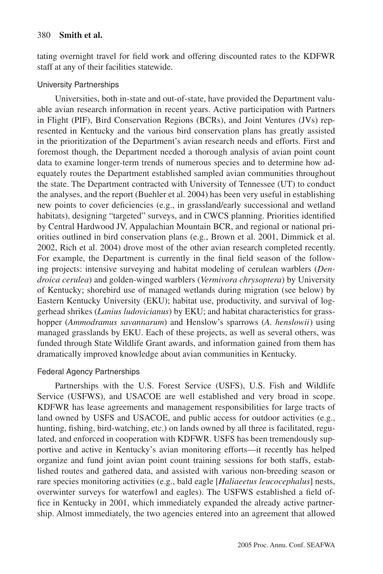tating overnight travel for field work and offering discounted rates to the KDFWR staff at any of their facilities statewide.

# University Partnerships

Universities, both in-state and out-of-state, have provided the Department valuable avian research information in recent years. Active participation with Partners in Flight (PIF), Bird Conservation Regions (BCRs), and Joint Ventures (JVs) represented in Kentucky and the various bird conservation plans has greatly assisted in the prioritization of the Department's avian research needs and efforts. First and foremost though, the Department needed a thorough analysis of avian point count data to examine longer-term trends of numerous species and to determine how adequately routes the Department established sampled avian communities throughout the state. The Department contracted with University of Tennessee (UT) to conduct the analyses, and the report (Buehler et al. 2004) has been very useful in establishing new points to cover deficiencies (e.g., in grassland/early successional and wetland habitats), designing "targeted" surveys, and in CWCS planning. Priorities identified by Central Hardwood JV, Appalachian Mountain BCR, and regional or national priorities outlined in bird conservation plans (e.g., Brown et al. 2001, Dimmick et al. 2002, Rich et al. 2004) drove most of the other avian research completed recently. For example, the Department is currently in the final field season of the following projects: intensive surveying and habitat modeling of cerulean warblers (*Dendroica cerulea*) and golden-winged warblers (*Vermivora chrysoptera*) by University of Kentucky; shorebird use of managed wetlands during migration (see below) by Eastern Kentucky University (EKU); habitat use, productivity, and survival of loggerhead shrikes (*Lanius ludovicianus*) by EKU; and habitat characteristics for grasshopper (*Ammodramus savannarum*) and Henslow's sparrows (*A. henslowii*) using managed grasslands by EKU. Each of these projects, as well as several others, was funded through State Wildlife Grant awards, and information gained from them has dramatically improved knowledge about avian communities in Kentucky.

# Federal Agency Partnerships

Partnerships with the U.S. Forest Service (USFS), U.S. Fish and Wildlife Service (USFWS), and USACOE are well established and very broad in scope. KDFWR has lease agreements and management responsibilities for large tracts of land owned by USFS and USACOE, and public access for outdoor activities (e.g., hunting, fishing, bird-watching, etc.) on lands owned by all three is facilitated, regulated, and enforced in cooperation with KDFWR. USFS has been tremendously supportive and active in Kentucky's avian monitoring efforts—it recently has helped organize and fund joint avian point count training sessions for both staffs, established routes and gathered data, and assisted with various non-breeding season or rare species monitoring activities (e.g., bald eagle [*Haliaeetus leucocephalus*] nests, overwinter surveys for waterfowl and eagles). The USFWS established a field office in Kentucky in 2001, which immediately expanded the already active partnership. Almost immediately, the two agencies entered into an agreement that allowed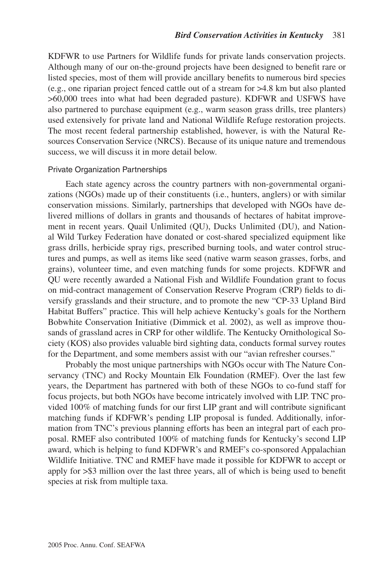KDFWR to use Partners for Wildlife funds for private lands conservation projects. Although many of our on-the-ground projects have been designed to benefit rare or listed species, most of them will provide ancillary benefits to numerous bird species (e.g., one riparian project fenced cattle out of a stream for >4.8 km but also planted >60,000 trees into what had been degraded pasture). KDFWR and USFWS have also partnered to purchase equipment (e.g., warm season grass drills, tree planters) used extensively for private land and National Wildlife Refuge restoration projects. The most recent federal partnership established, however, is with the Natural Resources Conservation Service (NRCS). Because of its unique nature and tremendous success, we will discuss it in more detail below.

#### Private Organization Partnerships

Each state agency across the country partners with non-governmental organizations (NGOs) made up of their constituents (i.e., hunters, anglers) or with similar conservation missions. Similarly, partnerships that developed with NGOs have delivered millions of dollars in grants and thousands of hectares of habitat improvement in recent years. Quail Unlimited (QU), Ducks Unlimited (DU), and National Wild Turkey Federation have donated or cost-shared specialized equipment like grass drills, herbicide spray rigs, prescribed burning tools, and water control structures and pumps, as well as items like seed (native warm season grasses, forbs, and grains), volunteer time, and even matching funds for some projects. KDFWR and QU were recently awarded a National Fish and Wildlife Foundation grant to focus on mid-contract management of Conservation Reserve Program (CRP) fields to diversify grasslands and their structure, and to promote the new "CP-33 Upland Bird Habitat Buffers" practice. This will help achieve Kentucky's goals for the Northern Bobwhite Conservation Initiative (Dimmick et al. 2002), as well as improve thousands of grassland acres in CRP for other wildlife. The Kentucky Ornithological Society (KOS) also provides valuable bird sighting data, conducts formal survey routes for the Department, and some members assist with our "avian refresher courses."

Probably the most unique partnerships with NGOs occur with The Nature Conservancy (TNC) and Rocky Mountain Elk Foundation (RMEF). Over the last few years, the Department has partnered with both of these NGOs to co-fund staff for focus projects, but both NGOs have become intricately involved with LIP. TNC provided 100% of matching funds for our first LIP grant and will contribute significant matching funds if KDFWR's pending LIP proposal is funded. Additionally, information from TNC's previous planning efforts has been an integral part of each proposal. RMEF also contributed 100% of matching funds for Kentucky's second LIP award, which is helping to fund KDFWR's and RMEF's co-sponsored Appalachian Wildlife Initiative. TNC and RMEF have made it possible for KDFWR to accept or apply for >\$3 million over the last three years, all of which is being used to benefit species at risk from multiple taxa.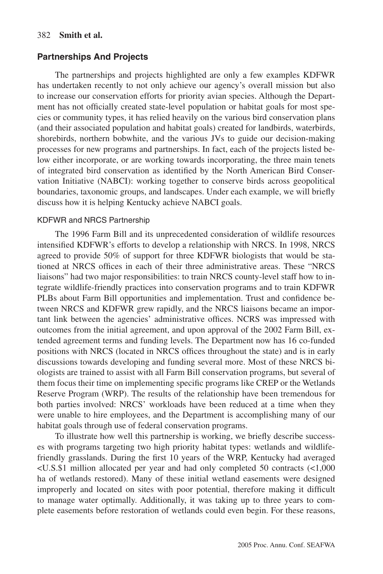# 382 **Smith et al.**

# **Partnerships And Projects**

The partnerships and projects highlighted are only a few examples KDFWR has undertaken recently to not only achieve our agency's overall mission but also to increase our conservation efforts for priority avian species. Although the Department has not officially created state-level population or habitat goals for most species or community types, it has relied heavily on the various bird conservation plans (and their associated population and habitat goals) created for landbirds, waterbirds, shorebirds, northern bobwhite, and the various JVs to guide our decision-making processes for new programs and partnerships. In fact, each of the projects listed below either incorporate, or are working towards incorporating, the three main tenets of integrated bird conservation as identified by the North American Bird Conservation Initiative (NABCI): working together to conserve birds across geopolitical boundaries, taxonomic groups, and landscapes. Under each example, we will briefly discuss how it is helping Kentucky achieve NABCI goals.

#### KDFWR and NRCS Partnership

The 1996 Farm Bill and its unprecedented consideration of wildlife resources intensified KDFWR's efforts to develop a relationship with NRCS. In 1998, NRCS agreed to provide 50% of support for three KDFWR biologists that would be stationed at NRCS offices in each of their three administrative areas. These "NRCS liaisons" had two major responsibilities: to train NRCS county-level staff how to integrate wildlife-friendly practices into conservation programs and to train KDFWR PLBs about Farm Bill opportunities and implementation. Trust and confidence between NRCS and KDFWR grew rapidly, and the NRCS liaisons became an important link between the agencies' administrative offices. NCRS was impressed with outcomes from the initial agreement, and upon approval of the 2002 Farm Bill, extended agreement terms and funding levels. The Department now has 16 co-funded positions with NRCS (located in NRCS offices throughout the state) and is in early discussions towards developing and funding several more. Most of these NRCS biologists are trained to assist with all Farm Bill conservation programs, but several of them focus their time on implementing specific programs like CREP or the Wetlands Reserve Program (WRP). The results of the relationship have been tremendous for both parties involved: NRCS' workloads have been reduced at a time when they were unable to hire employees, and the Department is accomplishing many of our habitat goals through use of federal conservation programs.

To illustrate how well this partnership is working, we briefly describe successes with programs targeting two high priority habitat types: wetlands and wildlifefriendly grasslands. During the first 10 years of the WRP, Kentucky had averaged <U.S.\$1 million allocated per year and had only completed 50 contracts (<1,000 ha of wetlands restored). Many of these initial wetland easements were designed improperly and located on sites with poor potential, therefore making it difficult to manage water optimally. Additionally, it was taking up to three years to complete easements before restoration of wetlands could even begin. For these reasons,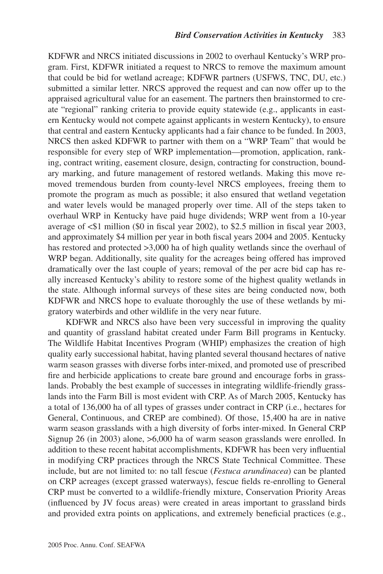KDFWR and NRCS initiated discussions in 2002 to overhaul Kentucky's WRP program. First, KDFWR initiated a request to NRCS to remove the maximum amount that could be bid for wetland acreage; KDFWR partners (USFWS, TNC, DU, etc.) submitted a similar letter. NRCS approved the request and can now offer up to the appraised agricultural value for an easement. The partners then brainstormed to create "regional" ranking criteria to provide equity statewide (e.g., applicants in eastern Kentucky would not compete against applicants in western Kentucky), to ensure that central and eastern Kentucky applicants had a fair chance to be funded. In 2003, NRCS then asked KDFWR to partner with them on a "WRP Team" that would be responsible for every step of WRP implementation—promotion, application, ranking, contract writing, easement closure, design, contracting for construction, boundary marking, and future management of restored wetlands. Making this move removed tremendous burden from county-level NRCS employees, freeing them to promote the program as much as possible; it also ensured that wetland vegetation and water levels would be managed properly over time. All of the steps taken to overhaul WRP in Kentucky have paid huge dividends; WRP went from a 10-year average of <\$1 million (\$0 in fiscal year 2002), to \$2.5 million in fiscal year 2003, and approximately \$4 million per year in both fiscal years 2004 and 2005. Kentucky has restored and protected >3,000 ha of high quality wetlands since the overhaul of WRP began. Additionally, site quality for the acreages being offered has improved dramatically over the last couple of years; removal of the per acre bid cap has really increased Kentucky's ability to restore some of the highest quality wetlands in the state. Although informal surveys of these sites are being conducted now, both KDFWR and NRCS hope to evaluate thoroughly the use of these wetlands by migratory waterbirds and other wildlife in the very near future.

KDFWR and NRCS also have been very successful in improving the quality and quantity of grassland habitat created under Farm Bill programs in Kentucky. The Wildlife Habitat Incentives Program (WHIP) emphasizes the creation of high quality early successional habitat, having planted several thousand hectares of native warm season grasses with diverse forbs inter-mixed, and promoted use of prescribed fire and herbicide applications to create bare ground and encourage forbs in grasslands. Probably the best example of successes in integrating wildlife-friendly grasslands into the Farm Bill is most evident with CRP. As of March 2005, Kentucky has a total of 136,000 ha of all types of grasses under contract in CRP (i.e., hectares for General, Continuous, and CREP are combined). Of those, 15,400 ha are in native warm season grasslands with a high diversity of forbs inter-mixed. In General CRP Signup 26 (in 2003) alone, >6,000 ha of warm season grasslands were enrolled. In addition to these recent habitat accomplishments, KDFWR has been very influential in modifying CRP practices through the NRCS State Technical Committee. These include, but are not limited to: no tall fescue (*Festuca arundinacea*) can be planted on CRP acreages (except grassed waterways), fescue fields re-enrolling to General CRP must be converted to a wildlife-friendly mixture, Conservation Priority Areas (influenced by JV focus areas) were created in areas important to grassland birds and provided extra points on applications, and extremely beneficial practices (e.g.,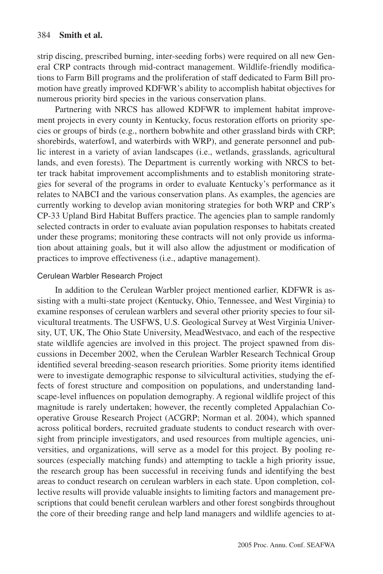strip discing, prescribed burning, inter-seeding forbs) were required on all new General CRP contracts through mid-contract management. Wildlife-friendly modifications to Farm Bill programs and the proliferation of staff dedicated to Farm Bill promotion have greatly improved KDFWR's ability to accomplish habitat objectives for numerous priority bird species in the various conservation plans.

Partnering with NRCS has allowed KDFWR to implement habitat improvement projects in every county in Kentucky, focus restoration efforts on priority species or groups of birds (e.g., northern bobwhite and other grassland birds with CRP; shorebirds, waterfowl, and waterbirds with WRP), and generate personnel and public interest in a variety of avian landscapes (i.e., wetlands, grasslands, agricultural lands, and even forests). The Department is currently working with NRCS to better track habitat improvement accomplishments and to establish monitoring strategies for several of the programs in order to evaluate Kentucky's performance as it relates to NABCI and the various conservation plans. As examples, the agencies are currently working to develop avian monitoring strategies for both WRP and CRP's CP-33 Upland Bird Habitat Buffers practice. The agencies plan to sample randomly selected contracts in order to evaluate avian population responses to habitats created under these programs; monitoring these contracts will not only provide us information about attaining goals, but it will also allow the adjustment or modification of practices to improve effectiveness (i.e., adaptive management).

# Cerulean Warbler Research Project

In addition to the Cerulean Warbler project mentioned earlier, KDFWR is assisting with a multi-state project (Kentucky, Ohio, Tennessee, and West Virginia) to examine responses of cerulean warblers and several other priority species to four silvicultural treatments. The USFWS, U.S. Geological Survey at West Virginia University, UT, UK, The Ohio State University, MeadWestvaco, and each of the respective state wildlife agencies are involved in this project. The project spawned from discussions in December 2002, when the Cerulean Warbler Research Technical Group identified several breeding-season research priorities. Some priority items identified were to investigate demographic response to silvicultural activities, studying the effects of forest structure and composition on populations, and understanding landscape-level influences on population demography. A regional wildlife project of this magnitude is rarely undertaken; however, the recently completed Appalachian Cooperative Grouse Research Project (ACGRP; Norman et al. 2004), which spanned across political borders, recruited graduate students to conduct research with oversight from principle investigators, and used resources from multiple agencies, universities, and organizations, will serve as a model for this project. By pooling resources (especially matching funds) and attempting to tackle a high priority issue, the research group has been successful in receiving funds and identifying the best areas to conduct research on cerulean warblers in each state. Upon completion, collective results will provide valuable insights to limiting factors and management prescriptions that could benefit cerulean warblers and other forest songbirds throughout the core of their breeding range and help land managers and wildlife agencies to at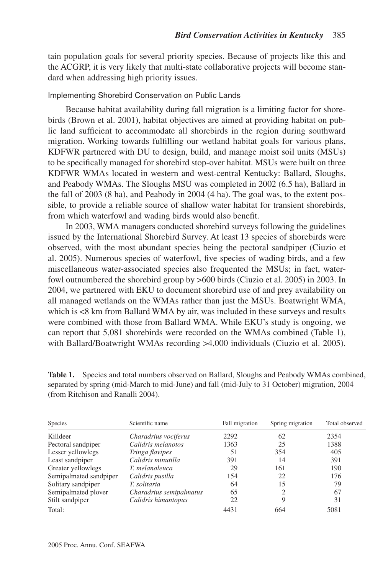tain population goals for several priority species. Because of projects like this and the ACGRP, it is very likely that multi-state collaborative projects will become standard when addressing high priority issues.

# Implementing Shorebird Conservation on Public Lands

Because habitat availability during fall migration is a limiting factor for shorebirds (Brown et al. 2001), habitat objectives are aimed at providing habitat on public land sufficient to accommodate all shorebirds in the region during southward migration. Working towards fulfilling our wetland habitat goals for various plans, KDFWR partnered with DU to design, build, and manage moist soil units (MSUs) to be specifically managed for shorebird stop-over habitat. MSUs were built on three KDFWR WMAs located in western and west-central Kentucky: Ballard, Sloughs, and Peabody WMAs. The Sloughs MSU was completed in 2002 (6.5 ha), Ballard in the fall of 2003 (8 ha), and Peabody in 2004 (4 ha). The goal was, to the extent possible, to provide a reliable source of shallow water habitat for transient shorebirds, from which waterfowl and wading birds would also benefit.

In 2003, WMA managers conducted shorebird surveys following the guidelines issued by the International Shorebird Survey. At least 13 species of shorebirds were observed, with the most abundant species being the pectoral sandpiper (Ciuzio et al. 2005). Numerous species of waterfowl, five species of wading birds, and a few miscellaneous water-associated species also frequented the MSUs; in fact, waterfowl outnumbered the shorebird group by >600 birds (Ciuzio et al. 2005) in 2003. In 2004, we partnered with EKU to document shorebird use of and prey availability on all managed wetlands on the WMAs rather than just the MSUs. Boatwright WMA, which is <8 km from Ballard WMA by air, was included in these surveys and results were combined with those from Ballard WMA. While EKU's study is ongoing, we can report that 5,081 shorebirds were recorded on the WMAs combined (Table 1), with Ballard/Boatwright WMAs recording >4,000 individuals (Ciuzio et al. 2005).

| Species                | Scientific name         | Fall migration | Spring migration | Total observed |
|------------------------|-------------------------|----------------|------------------|----------------|
| Killdeer               | Charadrius vociferus    | 2292           | 62               | 2354           |
| Pectoral sandpiper     | Calidris melanotos      | 1363           | 25               | 1388           |
| Lesser yellowlegs      | Tringa flavipes         | 51             | 354              | 405            |
| Least sandpiper        | Calidris minutilla      | 391            | 14               | 391            |
| Greater yellowlegs     | T. melanoleuca          | 29             | 161              | 190            |
| Semipalmated sandpiper | Calidris pusilla        | 154            | 22               | 176            |
| Solitary sandpiper     | T. solitaria            | 64             | 15               | 79             |
| Semipalmated plover    | Charadrius semipalmatus | 65             | 2                | 67             |
| Stilt sandpiper        | Calidris himantopus     | 22             | 9                | 31             |
| Total:                 |                         | 4431           | 664              | 5081           |

**Table 1.** Species and total numbers observed on Ballard, Sloughs and Peabody WMAs combined, separated by spring (mid-March to mid-June) and fall (mid-July to 31 October) migration, 2004 (from Ritchison and Ranalli 2004).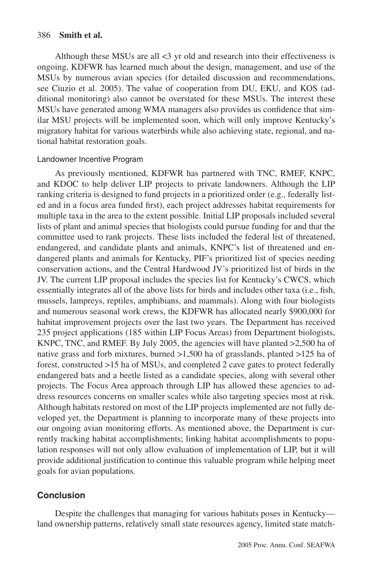Although these MSUs are all <3 yr old and research into their effectiveness is ongoing, KDFWR has learned much about the design, management, and use of the MSUs by numerous avian species (for detailed discussion and recommendations, see Ciuzio et al. 2005). The value of cooperation from DU, EKU, and KOS (additional monitoring) also cannot be overstated for these MSUs. The interest these MSUs have generated among WMA managers also provides us confidence that similar MSU projects will be implemented soon, which will only improve Kentucky's migratory habitat for various waterbirds while also achieving state, regional, and national habitat restoration goals.

#### Landowner Incentive Program

As previously mentioned, KDFWR has partnered with TNC, RMEF, KNPC, and KDOC to help deliver LIP projects to private landowners. Although the LIP ranking criteria is designed to fund projects in a prioritized order (e.g., federally listed and in a focus area funded first), each project addresses habitat requirements for multiple taxa in the area to the extent possible. Initial LIP proposals included several lists of plant and animal species that biologists could pursue funding for and that the committee used to rank projects. These lists included the federal list of threatened, endangered, and candidate plants and animals, KNPC's list of threatened and endangered plants and animals for Kentucky, PIF's prioritized list of species needing conservation actions, and the Central Hardwood JV's prioritized list of birds in the JV. The current LIP proposal includes the species list for Kentucky's CWCS, which essentially integrates all of the above lists for birds and includes other taxa (i.e., fish, mussels, lampreys, reptiles, amphibians, and mammals). Along with four biologists and numerous seasonal work crews, the KDFWR has allocated nearly \$900,000 for habitat improvement projects over the last two years. The Department has received 235 project applications (185 within LIP Focus Areas) from Department biologists, KNPC, TNC, and RMEF. By July 2005, the agencies will have planted >2,500 ha of native grass and forb mixtures, burned >1,500 ha of grasslands, planted >125 ha of forest, constructed >15 ha of MSUs, and completed 2 cave gates to protect federally endangered bats and a beetle listed as a candidate species, along with several other projects. The Focus Area approach through LIP has allowed these agencies to address resources concerns on smaller scales while also targeting species most at risk. Although habitats restored on most of the LIP projects implemented are not fully developed yet, the Department is planning to incorporate many of these projects into our ongoing avian monitoring efforts. As mentioned above, the Department is currently tracking habitat accomplishments; linking habitat accomplishments to population responses will not only allow evaluation of implementation of LIP, but it will provide additional justification to continue this valuable program while helping meet goals for avian populations.

# **Conclusion**

Despite the challenges that managing for various habitats poses in Kentucky land ownership patterns, relatively small state resources agency, limited state match-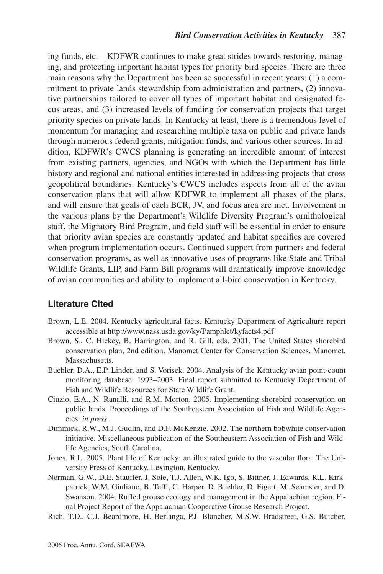ing funds, etc.—KDFWR continues to make great strides towards restoring, managing, and protecting important habitat types for priority bird species. There are three main reasons why the Department has been so successful in recent years: (1) a commitment to private lands stewardship from administration and partners, (2) innovative partnerships tailored to cover all types of important habitat and designated focus areas, and (3) increased levels of funding for conservation projects that target priority species on private lands. In Kentucky at least, there is a tremendous level of momentum for managing and researching multiple taxa on public and private lands through numerous federal grants, mitigation funds, and various other sources. In addition, KDFWR's CWCS planning is generating an incredible amount of interest from existing partners, agencies, and NGOs with which the Department has little history and regional and national entities interested in addressing projects that cross geopolitical boundaries. Kentucky's CWCS includes aspects from all of the avian conservation plans that will allow KDFWR to implement all phases of the plans, and will ensure that goals of each BCR, JV, and focus area are met. Involvement in the various plans by the Department's Wildlife Diversity Program's ornithological staff, the Migratory Bird Program, and field staff will be essential in order to ensure that priority avian species are constantly updated and habitat specifics are covered when program implementation occurs. Continued support from partners and federal conservation programs, as well as innovative uses of programs like State and Tribal Wildlife Grants, LIP, and Farm Bill programs will dramatically improve knowledge of avian communities and ability to implement all-bird conservation in Kentucky.

# **Literature Cited**

- Brown, L.E. 2004. Kentucky agricultural facts. Kentucky Department of Agriculture report accessible at http://www.nass.usda.gov/ky/Pamphlet/kyfacts4.pdf
- Brown, S., C. Hickey, B. Harrington, and R. Gill, eds. 2001. The United States shorebird conservation plan, 2nd edition. Manomet Center for Conservation Sciences, Manomet, Massachusetts.
- Buehler, D.A., E.P. Linder, and S. Vorisek. 2004. Analysis of the Kentucky avian point-count monitoring database: 1993–2003. Final report submitted to Kentucky Department of Fish and Wildlife Resources for State Wildlife Grant.
- Ciuzio, E.A., N. Ranalli, and R.M. Morton. 2005. Implementing shorebird conservation on public lands. Proceedings of the Southeastern Association of Fish and Wildlife Agencies: *in press*.
- Dimmick, R.W., M.J. Gudlin, and D.F. McKenzie. 2002. The northern bobwhite conservation initiative. Miscellaneous publication of the Southeastern Association of Fish and Wildlife Agencies, South Carolina.
- Jones, R.L. 2005. Plant life of Kentucky: an illustrated guide to the vascular flora. The University Press of Kentucky, Lexington, Kentucky.
- Norman, G.W., D.E. Stauffer, J. Sole, T.J. Allen, W.K. Igo, S. Bittner, J. Edwards, R.L. Kirkpatrick, W.M. Giuliano, B. Tefft, C. Harper, D. Buehler, D. Figert, M. Seamster, and D. Swanson. 2004. Ruffed grouse ecology and management in the Appalachian region. Final Project Report of the Appalachian Cooperative Grouse Research Project.
- Rich, T.D., C.J. Beardmore, H. Berlanga, P.J. Blancher, M.S.W. Bradstreet, G.S. Butcher,